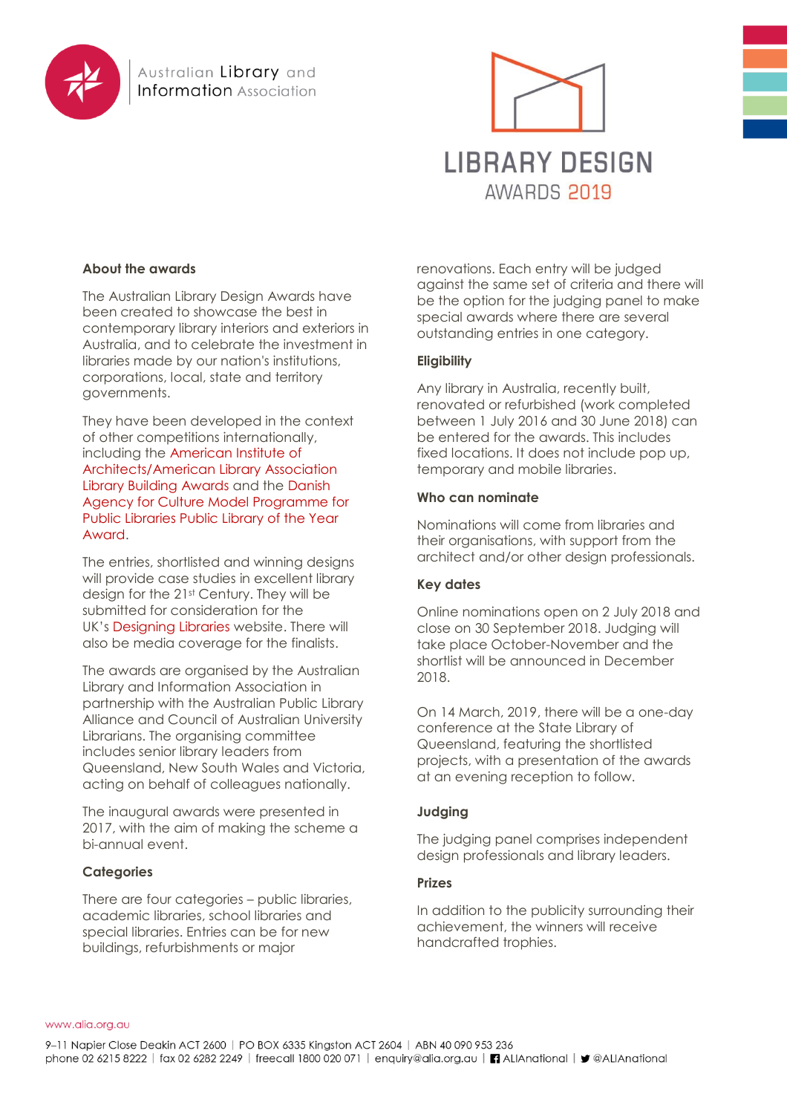



# **About the awards**

The Australian Library Design Awards have been created to showcase the best in contemporary library interiors and exteriors in Australia, and to celebrate the investment in libraries made by our nation's institutions, corporations, local, state and territory governments.

They have been developed in the context of other competitions internationally, including the [American Institute of](http://www.aia.org/practicing/awards/AIAB083450)  [Architects/American Library Association](http://www.aia.org/practicing/awards/AIAB083450)  [Library Building Awards](http://www.aia.org/practicing/awards/AIAB083450) and the [Danish](http://modelprogrammer.slks.dk/det-sker/public-library-of-the-year-2016/)  [Agency for Culture Model Programme for](http://modelprogrammer.slks.dk/det-sker/public-library-of-the-year-2016/)  [Public Libraries Public Library of the Year](http://modelprogrammer.slks.dk/det-sker/public-library-of-the-year-2016/)  [Award.](http://modelprogrammer.slks.dk/det-sker/public-library-of-the-year-2016/)

The entries, shortlisted and winning designs will provide case studies in excellent library design for the 21st Century. They will be submitted for consideration for the UK's [Designing Libraries](http://www.designinglibraries.org.uk/) website. There will also be media coverage for the finalists.

The awards are organised by the Australian Library and Information Association in partnership with the Australian Public Library Alliance and Council of Australian University Librarians. The organising committee includes senior library leaders from Queensland, New South Wales and Victoria, acting on behalf of colleagues nationally.

The inaugural awards were presented in 2017, with the aim of making the scheme a bi-annual event.

## **Categories**

There are four categories – public libraries, academic libraries, school libraries and special libraries. Entries can be for new buildings, refurbishments or major

renovations. Each entry will be judged against the same set of criteria and there will be the option for the judging panel to make special awards where there are several outstanding entries in one category.

# **Eligibility**

Any library in Australia, recently built, renovated or refurbished (work completed between 1 July 2016 and 30 June 2018) can be entered for the awards. This includes fixed locations. It does not include pop up, temporary and mobile libraries.

## **Who can nominate**

Nominations will come from libraries and their organisations, with support from the architect and/or other design professionals.

## **Key dates**

Online nominations open on 2 July 2018 and close on 30 September 2018. Judging will take place October-November and the shortlist will be announced in December 2018.

On 14 March, 2019, there will be a one-day conference at the State Library of Queensland, featuring the shortlisted projects, with a presentation of the awards at an evening reception to follow.

## **Judging**

The judging panel comprises independent design professionals and library leaders.

## **Prizes**

In addition to the publicity surrounding their achievement, the winners will receive handcrafted trophies.

#### www.alia.org.au